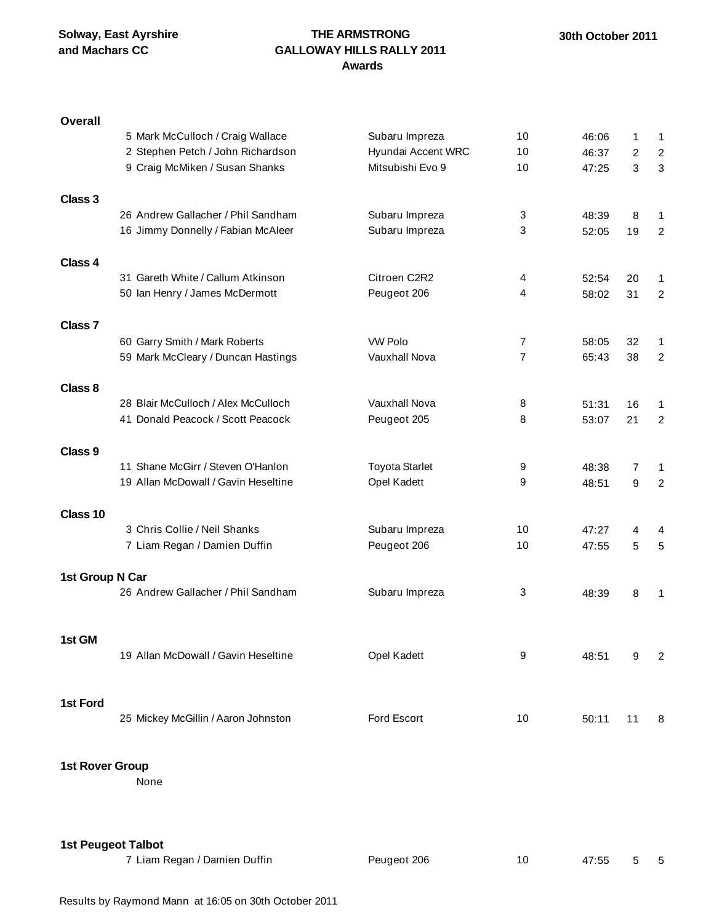## **THE ARMSTRONG GALLOWAY HILLS RALLY 2011 Awards**

| <b>Overall</b>            |                                     |                       |                |       |                |                |
|---------------------------|-------------------------------------|-----------------------|----------------|-------|----------------|----------------|
|                           | 5 Mark McCulloch / Craig Wallace    | Subaru Impreza        | 10             | 46:06 | 1              | $\mathbf{1}$   |
|                           | 2 Stephen Petch / John Richardson   | Hyundai Accent WRC    | 10             | 46:37 | $\overline{2}$ | $\overline{c}$ |
|                           | 9 Craig McMiken / Susan Shanks      | Mitsubishi Evo 9      | 10             | 47:25 | 3              | $\sqrt{3}$     |
|                           |                                     |                       |                |       |                |                |
| Class 3                   |                                     |                       |                |       |                |                |
|                           | 26 Andrew Gallacher / Phil Sandham  | Subaru Impreza        | 3              | 48:39 | 8              | 1              |
|                           | 16 Jimmy Donnelly / Fabian McAleer  | Subaru Impreza        | 3              | 52:05 | 19             | 2              |
|                           |                                     |                       |                |       |                |                |
| Class 4                   |                                     |                       |                |       |                |                |
|                           | 31 Gareth White / Callum Atkinson   | Citroen C2R2          | 4              | 52:54 | 20             | 1              |
|                           | 50 Ian Henry / James McDermott      | Peugeot 206           | 4              | 58:02 | 31             | $\overline{2}$ |
|                           |                                     |                       |                |       |                |                |
| Class <sub>7</sub>        |                                     |                       |                |       |                |                |
|                           |                                     |                       |                |       |                |                |
|                           | 60 Garry Smith / Mark Roberts       | <b>VW Polo</b>        | $\overline{7}$ | 58:05 | 32             | 1              |
|                           | 59 Mark McCleary / Duncan Hastings  | Vauxhall Nova         | $\overline{7}$ | 65:43 | 38             | 2              |
|                           |                                     |                       |                |       |                |                |
| Class 8                   |                                     |                       |                |       |                |                |
|                           | 28 Blair McCulloch / Alex McCulloch | Vauxhall Nova         | 8              | 51:31 | 16             | 1              |
|                           | 41 Donald Peacock / Scott Peacock   | Peugeot 205           | 8              | 53:07 | 21             | $\overline{2}$ |
|                           |                                     |                       |                |       |                |                |
| Class 9                   |                                     |                       |                |       |                |                |
|                           | 11 Shane McGirr / Steven O'Hanlon   | <b>Toyota Starlet</b> | 9              | 48:38 | $\overline{7}$ | $\mathbf{1}$   |
|                           | 19 Allan McDowall / Gavin Heseltine | Opel Kadett           | 9              | 48:51 | 9              | $\overline{2}$ |
|                           |                                     |                       |                |       |                |                |
| Class 10                  |                                     |                       |                |       |                |                |
|                           | 3 Chris Collie / Neil Shanks        | Subaru Impreza        | 10             | 47:27 | 4              | 4              |
|                           | 7 Liam Regan / Damien Duffin        | Peugeot 206           | 10             | 47:55 | 5              | $\sqrt{5}$     |
|                           |                                     |                       |                |       |                |                |
| 1st Group N Car           |                                     |                       |                |       |                |                |
|                           | 26 Andrew Gallacher / Phil Sandham  | Subaru Impreza        | 3              | 48:39 | 8              | $\mathbf{1}$   |
|                           |                                     |                       |                |       |                |                |
|                           |                                     |                       |                |       |                |                |
| 1st GM                    |                                     |                       |                |       |                |                |
|                           | 19 Allan McDowall / Gavin Heseltine | Opel Kadett           | 9              | 48:51 | 9              | 2              |
|                           |                                     |                       |                |       |                |                |
|                           |                                     |                       |                |       |                |                |
| 1st Ford                  |                                     |                       |                |       |                |                |
|                           | 25 Mickey McGillin / Aaron Johnston | Ford Escort           | 10             | 50:11 | 11             | 8              |
|                           |                                     |                       |                |       |                |                |
|                           |                                     |                       |                |       |                |                |
| 1st Rover Group           |                                     |                       |                |       |                |                |
|                           | None                                |                       |                |       |                |                |
|                           |                                     |                       |                |       |                |                |
|                           |                                     |                       |                |       |                |                |
|                           |                                     |                       |                |       |                |                |
|                           |                                     |                       |                |       |                |                |
| <b>1st Peugeot Talbot</b> |                                     |                       |                |       |                |                |
|                           | 7 Liam Regan / Damien Duffin        | Peugeot 206           | 10             | 47:55 | 5              | 5              |
|                           |                                     |                       |                |       |                |                |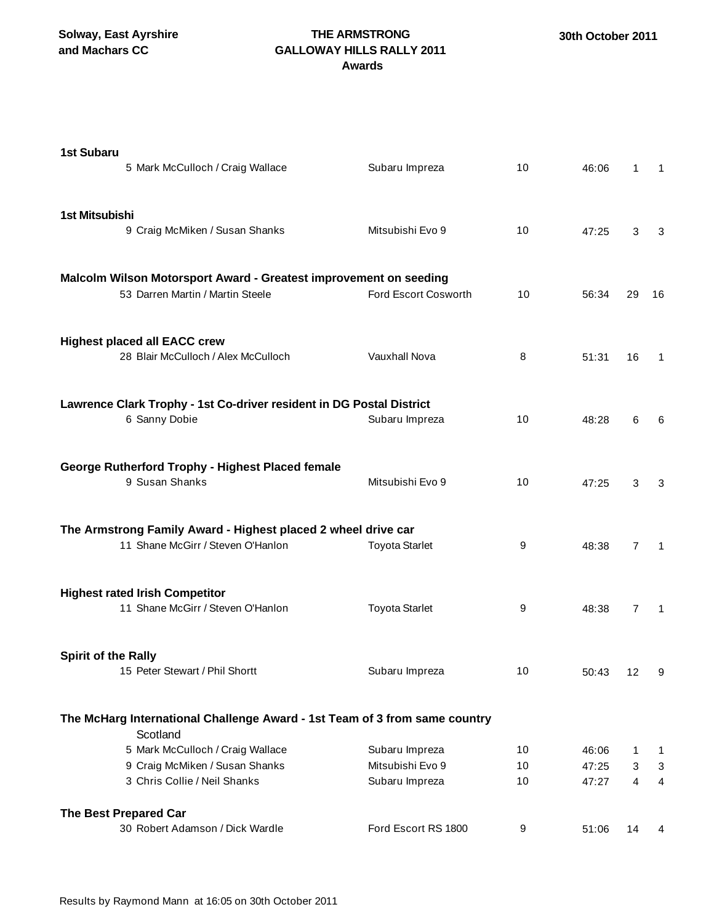**Solway, East Ayrshire and Machars CC**

## **THE ARMSTRONG GALLOWAY HILLS RALLY 2011 Awards**

| <b>1st Subaru</b><br>5 Mark McCulloch / Craig Wallace                                                 | Subaru Impreza        | 10 | 46:06 | 1              | -1             |
|-------------------------------------------------------------------------------------------------------|-----------------------|----|-------|----------------|----------------|
| 1st Mitsubishi<br>9 Craig McMiken / Susan Shanks                                                      | Mitsubishi Evo 9      | 10 | 47:25 | 3              | 3              |
| Malcolm Wilson Motorsport Award - Greatest improvement on seeding<br>53 Darren Martin / Martin Steele | Ford Escort Cosworth  | 10 | 56:34 | 29             | 16             |
| <b>Highest placed all EACC crew</b><br>28 Blair McCulloch / Alex McCulloch                            | Vauxhall Nova         | 8  | 51:31 | 16             | 1              |
| Lawrence Clark Trophy - 1st Co-driver resident in DG Postal District<br>6 Sanny Dobie                 | Subaru Impreza        | 10 | 48:28 | 6              | 6              |
| George Rutherford Trophy - Highest Placed female<br>9 Susan Shanks                                    | Mitsubishi Evo 9      | 10 | 47:25 | 3              | 3              |
| The Armstrong Family Award - Highest placed 2 wheel drive car<br>11 Shane McGirr / Steven O'Hanlon    | <b>Toyota Starlet</b> | 9  | 48:38 | $\overline{7}$ | $\overline{1}$ |
| <b>Highest rated Irish Competitor</b><br>11 Shane McGirr / Steven O'Hanlon                            | <b>Toyota Starlet</b> | 9  | 48:38 | 7              | -1             |
| <b>Spirit of the Rally</b><br>15 Peter Stewart / Phil Shortt                                          | Subaru Impreza        | 10 | 50:43 | 12             | 9              |
| The McHarg International Challenge Award - 1st Team of 3 from same country<br>Scotland                |                       |    |       |                |                |
| 5 Mark McCulloch / Craig Wallace                                                                      | Subaru Impreza        | 10 | 46:06 | 1              | 1              |
| 9 Craig McMiken / Susan Shanks                                                                        | Mitsubishi Evo 9      | 10 | 47:25 | 3              | 3              |
| 3 Chris Collie / Neil Shanks                                                                          | Subaru Impreza        | 10 | 47:27 | 4              | 4              |
| The Best Prepared Car                                                                                 |                       |    |       |                |                |
| 30 Robert Adamson / Dick Wardle                                                                       | Ford Escort RS 1800   | 9  | 51:06 | 14             | 4              |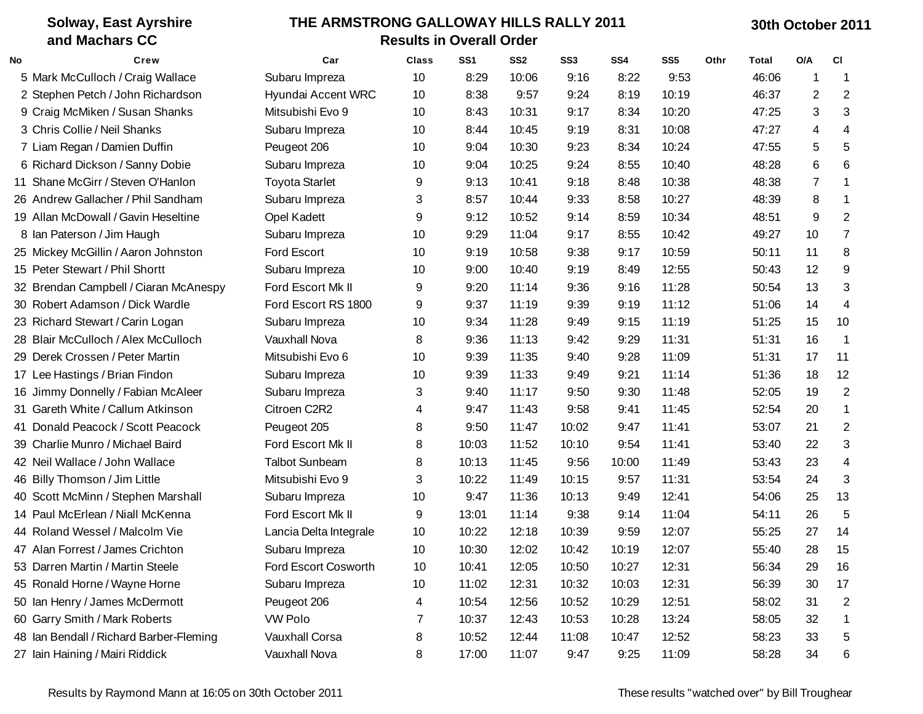|    | <b>Solway, East Ayrshire</b>            | THE ARMSTRONG GALLOWAY HILLS RALLY 2011 |              |                 |                 |                 |       |                 |      |       |                | 30th October 2011 |  |  |  |  |
|----|-----------------------------------------|-----------------------------------------|--------------|-----------------|-----------------|-----------------|-------|-----------------|------|-------|----------------|-------------------|--|--|--|--|
|    | and Machars CC                          | <b>Results in Overall Order</b>         |              |                 |                 |                 |       |                 |      |       |                |                   |  |  |  |  |
| No | Crew                                    | Car                                     | <b>Class</b> | SS <sub>1</sub> | SS <sub>2</sub> | SS <sub>3</sub> | SS4   | SS <sub>5</sub> | Othr | Total | O/A            | <b>CI</b>         |  |  |  |  |
|    | 5 Mark McCulloch / Craig Wallace        | Subaru Impreza                          | 10           | 8:29            | 10:06           | 9:16            | 8:22  | 9:53            |      | 46:06 | 1              | -1                |  |  |  |  |
|    | 2 Stephen Petch / John Richardson       | Hyundai Accent WRC                      | 10           | 8:38            | 9:57            | 9:24            | 8:19  | 10:19           |      | 46:37 | 2              | 2                 |  |  |  |  |
|    | 9 Craig McMiken / Susan Shanks          | Mitsubishi Evo 9                        | 10           | 8:43            | 10:31           | 9:17            | 8:34  | 10:20           |      | 47:25 | 3              | 3                 |  |  |  |  |
|    | 3 Chris Collie / Neil Shanks            | Subaru Impreza                          | 10           | 8:44            | 10:45           | 9:19            | 8:31  | 10:08           |      | 47:27 | 4              | 4                 |  |  |  |  |
|    | 7 Liam Regan / Damien Duffin            | Peugeot 206                             | 10           | 9:04            | 10:30           | 9:23            | 8:34  | 10:24           |      | 47:55 | 5              | 5                 |  |  |  |  |
|    | 6 Richard Dickson / Sanny Dobie         | Subaru Impreza                          | 10           | 9:04            | 10:25           | 9:24            | 8:55  | 10:40           |      | 48:28 | 6              | 6                 |  |  |  |  |
|    | 11 Shane McGirr / Steven O'Hanlon       | <b>Toyota Starlet</b>                   | 9            | 9:13            | 10:41           | 9:18            | 8:48  | 10:38           |      | 48:38 | $\overline{7}$ | -1                |  |  |  |  |
|    | 26 Andrew Gallacher / Phil Sandham      | Subaru Impreza                          | 3            | 8:57            | 10:44           | 9:33            | 8:58  | 10:27           |      | 48:39 | 8              | -1                |  |  |  |  |
|    | 19 Allan McDowall / Gavin Heseltine     | <b>Opel Kadett</b>                      | 9            | 9:12            | 10:52           | 9:14            | 8:59  | 10:34           |      | 48:51 | 9              | $\overline{2}$    |  |  |  |  |
|    | 8 Ian Paterson / Jim Haugh              | Subaru Impreza                          | 10           | 9:29            | 11:04           | 9:17            | 8:55  | 10:42           |      | 49:27 | 10             | 7                 |  |  |  |  |
|    | 25 Mickey McGillin / Aaron Johnston     | Ford Escort                             | 10           | 9:19            | 10:58           | 9:38            | 9:17  | 10:59           |      | 50:11 | 11             | 8                 |  |  |  |  |
|    | 15 Peter Stewart / Phil Shortt          | Subaru Impreza                          | 10           | 9:00            | 10:40           | 9:19            | 8:49  | 12:55           |      | 50:43 | 12             | 9                 |  |  |  |  |
|    | 32 Brendan Campbell / Ciaran McAnespy   | Ford Escort Mk II                       | 9            | 9:20            | 11:14           | 9:36            | 9:16  | 11:28           |      | 50:54 | 13             | 3                 |  |  |  |  |
|    | 30 Robert Adamson / Dick Wardle         | Ford Escort RS 1800                     | 9            | 9:37            | 11:19           | 9:39            | 9:19  | 11:12           |      | 51:06 | 14             | 4                 |  |  |  |  |
|    | 23 Richard Stewart / Carin Logan        | Subaru Impreza                          | 10           | 9:34            | 11:28           | 9:49            | 9:15  | 11:19           |      | 51:25 | 15             | 10                |  |  |  |  |
|    | 28 Blair McCulloch / Alex McCulloch     | <b>Vauxhall Nova</b>                    | 8            | 9:36            | 11:13           | 9:42            | 9:29  | 11:31           |      | 51:31 | 16             | -1                |  |  |  |  |
|    | 29 Derek Crossen / Peter Martin         | Mitsubishi Evo 6                        | 10           | 9:39            | 11:35           | 9:40            | 9:28  | 11:09           |      | 51:31 | 17             | 11                |  |  |  |  |
|    | 17 Lee Hastings / Brian Findon          | Subaru Impreza                          | 10           | 9:39            | 11:33           | 9:49            | 9:21  | 11:14           |      | 51:36 | 18             | 12                |  |  |  |  |
|    | 16 Jimmy Donnelly / Fabian McAleer      | Subaru Impreza                          | 3            | 9:40            | 11:17           | 9:50            | 9:30  | 11:48           |      | 52:05 | 19             | $\overline{c}$    |  |  |  |  |
|    | 31 Gareth White / Callum Atkinson       | Citroen C2R2                            | 4            | 9:47            | 11:43           | 9:58            | 9:41  | 11:45           |      | 52:54 | 20             | 1                 |  |  |  |  |
|    | 41 Donald Peacock / Scott Peacock       | Peugeot 205                             | 8            | 9:50            | 11:47           | 10:02           | 9:47  | 11:41           |      | 53:07 | 21             | 2                 |  |  |  |  |
|    | 39 Charlie Munro / Michael Baird        | Ford Escort Mk II                       | 8            | 10:03           | 11:52           | 10:10           | 9:54  | 11:41           |      | 53:40 | 22             | 3                 |  |  |  |  |
|    | 42 Neil Wallace / John Wallace          | <b>Talbot Sunbeam</b>                   | 8            | 10:13           | 11:45           | 9:56            | 10:00 | 11:49           |      | 53:43 | 23             | 4                 |  |  |  |  |
|    | 46 Billy Thomson / Jim Little           | Mitsubishi Evo 9                        | 3            | 10:22           | 11:49           | 10:15           | 9:57  | 11:31           |      | 53:54 | 24             | 3                 |  |  |  |  |
|    | 40 Scott McMinn / Stephen Marshall      | Subaru Impreza                          | 10           | 9:47            | 11:36           | 10:13           | 9:49  | 12:41           |      | 54:06 | 25             | 13                |  |  |  |  |
|    | 14 Paul McErlean / Niall McKenna        | Ford Escort Mk II                       | 9            | 13:01           | 11:14           | 9:38            | 9:14  | 11:04           |      | 54:11 | 26             | 5                 |  |  |  |  |
|    | 44 Roland Wessel / Malcolm Vie          | Lancia Delta Integrale                  | 10           | 10:22           | 12:18           | 10:39           | 9:59  | 12:07           |      | 55:25 | 27             | 14                |  |  |  |  |
|    | 47 Alan Forrest / James Crichton        | Subaru Impreza                          | 10           | 10:30           | 12:02           | 10:42           | 10:19 | 12:07           |      | 55:40 | 28             | 15                |  |  |  |  |
|    | 53 Darren Martin / Martin Steele        | Ford Escort Cosworth                    | 10           | 10:41           | 12:05           | 10:50           | 10:27 | 12:31           |      | 56:34 | 29             | 16                |  |  |  |  |
|    | 45 Ronald Horne / Wayne Horne           | Subaru Impreza                          | 10           | 11:02           | 12:31           | 10:32           | 10:03 | 12:31           |      | 56:39 | 30             | 17                |  |  |  |  |
|    | 50 Ian Henry / James McDermott          | Peugeot 206                             | 4            | 10:54           | 12:56           | 10:52           | 10:29 | 12:51           |      | 58:02 | 31             | 2                 |  |  |  |  |
|    | 60 Garry Smith / Mark Roberts           | <b>VW Polo</b>                          | 7            | 10:37           | 12:43           | 10:53           | 10:28 | 13:24           |      | 58:05 | 32             |                   |  |  |  |  |
|    | 48 Ian Bendall / Richard Barber-Fleming | Vauxhall Corsa                          | 8            | 10:52           | 12:44           | 11:08           | 10:47 | 12:52           |      | 58:23 | 33             | 5                 |  |  |  |  |
|    | 27 Iain Haining / Mairi Riddick         | Vauxhall Nova                           | 8            | 17:00           | 11:07           | 9:47            | 9:25  | 11:09           |      | 58:28 | 34             | 6                 |  |  |  |  |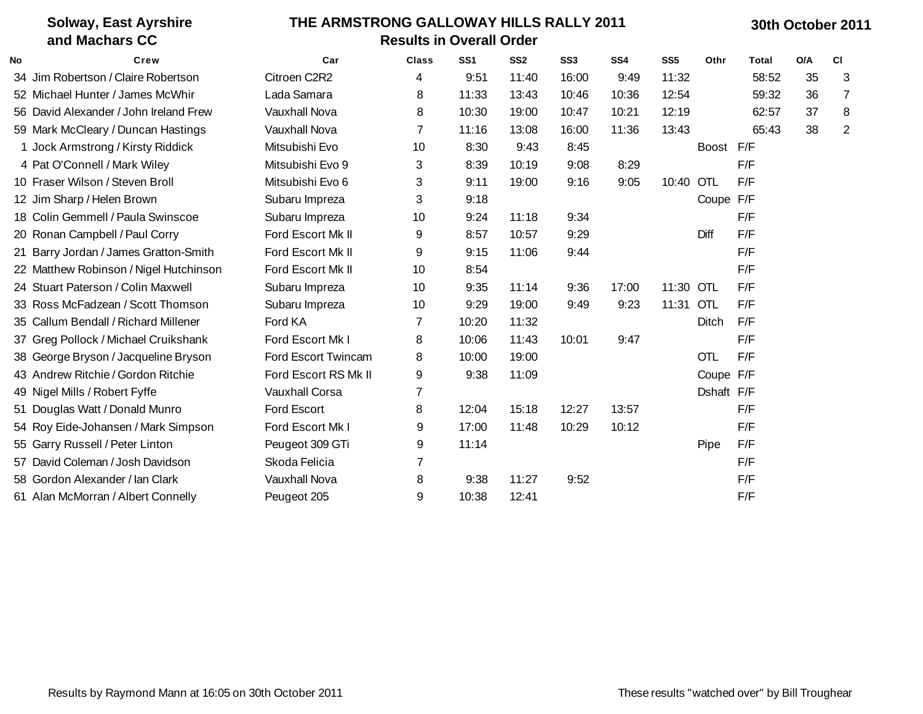|    | <b>Solway, East Ayrshire</b><br>and Machars CC | THE ARMSTRONG GALLOWAY HILLS RALLY 2011<br><b>Results in Overall Order</b> |                |                 |                 |                 |                 |                 |            |              | 30th October 2011 |                |  |  |  |
|----|------------------------------------------------|----------------------------------------------------------------------------|----------------|-----------------|-----------------|-----------------|-----------------|-----------------|------------|--------------|-------------------|----------------|--|--|--|
| No | Crew                                           | Car                                                                        | <b>Class</b>   | SS <sub>1</sub> | SS <sub>2</sub> | SS <sub>3</sub> | SS <sub>4</sub> | SS <sub>5</sub> | Othr       | <b>Total</b> | O/A               | C1             |  |  |  |
|    | 34 Jim Robertson / Claire Robertson            | Citroen C2R2                                                               | 4              | 9:51            | 11:40           | 16:00           | 9:49            | 11:32           |            | 58:52        | 35                | 3              |  |  |  |
|    | 52 Michael Hunter / James McWhir               | Lada Samara                                                                | 8              | 11:33           | 13:43           | 10:46           | 10:36           | 12:54           |            | 59:32        | 36                | $\overline{7}$ |  |  |  |
|    | 56 David Alexander / John Ireland Frew         | Vauxhall Nova                                                              | 8              | 10:30           | 19:00           | 10:47           | 10:21           | 12:19           |            | 62:57        | 37                | 8              |  |  |  |
|    | 59 Mark McCleary / Duncan Hastings             | Vauxhall Nova                                                              | $\overline{7}$ | 11:16           | 13:08           | 16:00           | 11:36           | 13:43           |            | 65:43        | 38                | $\overline{2}$ |  |  |  |
|    | 1 Jock Armstrong / Kirsty Riddick              | Mitsubishi Evo                                                             | 10             | 8:30            | 9:43            | 8:45            |                 |                 | Boost F/F  |              |                   |                |  |  |  |
|    | 4 Pat O'Connell / Mark Wiley                   | Mitsubishi Evo 9                                                           | 3              | 8:39            | 10:19           | 9:08            | 8:29            |                 |            | F/F          |                   |                |  |  |  |
|    | 10 Fraser Wilson / Steven Broll                | Mitsubishi Evo 6                                                           | 3              | 9:11            | 19:00           | 9:16            | 9:05            | 10:40           | OTL        | F/F          |                   |                |  |  |  |
|    | 12 Jim Sharp / Helen Brown                     | Subaru Impreza                                                             | 3              | 9:18            |                 |                 |                 |                 | Coupe F/F  |              |                   |                |  |  |  |
|    | 18 Colin Gemmell / Paula Swinscoe              | Subaru Impreza                                                             | 10             | 9:24            | 11:18           | 9:34            |                 |                 |            | F/F          |                   |                |  |  |  |
|    | 20 Ronan Campbell / Paul Corry                 | Ford Escort Mk II                                                          | 9              | 8:57            | 10:57           | 9:29            |                 |                 | Diff       | F/F          |                   |                |  |  |  |
|    | 21 Barry Jordan / James Gratton-Smith          | Ford Escort Mk II                                                          | 9              | 9:15            | 11:06           | 9:44            |                 |                 |            | F/F          |                   |                |  |  |  |
|    | 22 Matthew Robinson / Nigel Hutchinson         | Ford Escort Mk II                                                          | 10             | 8:54            |                 |                 |                 |                 |            | F/F          |                   |                |  |  |  |
|    | 24 Stuart Paterson / Colin Maxwell             | Subaru Impreza                                                             | 10             | 9:35            | 11:14           | 9:36            | 17:00           | 11:30 OTL       |            | F/F          |                   |                |  |  |  |
|    | 33 Ross McFadzean / Scott Thomson              | Subaru Impreza                                                             | 10             | 9:29            | 19:00           | 9:49            | 9:23            | 11:31 OTL       |            | F/F          |                   |                |  |  |  |
|    | 35 Callum Bendall / Richard Millener           | Ford KA                                                                    | 7              | 10:20           | 11:32           |                 |                 |                 | Ditch      | F/F          |                   |                |  |  |  |
|    | 37 Greg Pollock / Michael Cruikshank           | Ford Escort Mk I                                                           | 8              | 10:06           | 11:43           | 10:01           | 9:47            |                 |            | F/F          |                   |                |  |  |  |
|    | 38 George Bryson / Jacqueline Bryson           | Ford Escort Twincam                                                        | 8              | 10:00           | 19:00           |                 |                 |                 | <b>OTL</b> | F/F          |                   |                |  |  |  |
|    | 43 Andrew Ritchie / Gordon Ritchie             | Ford Escort RS Mk II                                                       | 9              | 9:38            | 11:09           |                 |                 |                 | Coupe F/F  |              |                   |                |  |  |  |
|    | 49 Nigel Mills / Robert Fyffe                  | <b>Vauxhall Corsa</b>                                                      | 7              |                 |                 |                 |                 |                 | Dshaft F/F |              |                   |                |  |  |  |
|    | 51 Douglas Watt / Donald Munro                 | Ford Escort                                                                | 8              | 12:04           | 15:18           | 12:27           | 13:57           |                 |            | F/F          |                   |                |  |  |  |
|    | 54 Roy Eide-Johansen / Mark Simpson            | Ford Escort Mk I                                                           | 9              | 17:00           | 11:48           | 10:29           | 10:12           |                 |            | F/F          |                   |                |  |  |  |
|    | 55 Garry Russell / Peter Linton                | Peugeot 309 GTi                                                            | 9              | 11:14           |                 |                 |                 |                 | Pipe       | F/F          |                   |                |  |  |  |
|    | 57 David Coleman / Josh Davidson               | Skoda Felicia                                                              | $\overline{7}$ |                 |                 |                 |                 |                 |            | F/F          |                   |                |  |  |  |
|    | 58 Gordon Alexander / Ian Clark                | Vauxhall Nova                                                              | 8              | 9:38            | 11:27           | 9:52            |                 |                 |            | F/F          |                   |                |  |  |  |
|    | 61 Alan McMorran / Albert Connelly             | Peugeot 205                                                                | 9              | 10:38           | 12:41           |                 |                 |                 |            | F/F          |                   |                |  |  |  |
|    |                                                |                                                                            |                |                 |                 |                 |                 |                 |            |              |                   |                |  |  |  |

## Results by Raymond Mann at 16:05 on 30th October 2011 These results "watched over" by Bill Troughear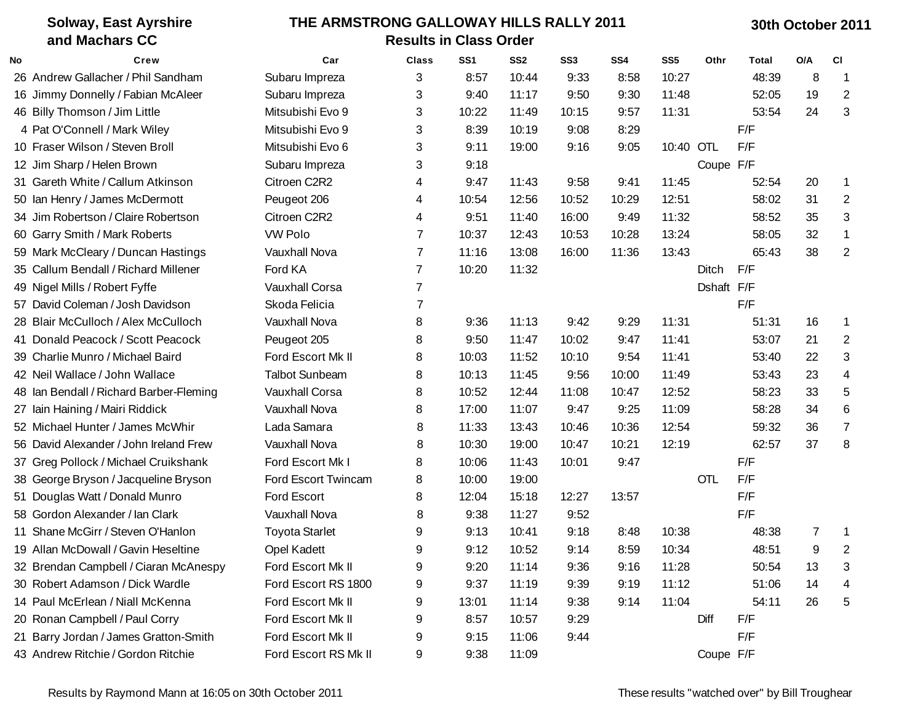| <b>Solway, East Ayrshire</b>            | THE ARMSTRONG GALLOWAY HILLS RALLY 2011 |                       |                               |                 |                 |                 |                 |                 |            | 30th October 2011 |             |           |  |  |
|-----------------------------------------|-----------------------------------------|-----------------------|-------------------------------|-----------------|-----------------|-----------------|-----------------|-----------------|------------|-------------------|-------------|-----------|--|--|
| and Machars CC                          |                                         |                       | <b>Results in Class Order</b> |                 |                 |                 |                 |                 |            |                   |             |           |  |  |
| No<br>Crew                              |                                         | Car                   | Class                         | SS <sub>1</sub> | SS <sub>2</sub> | SS <sub>3</sub> | SS <sub>4</sub> | SS <sub>5</sub> | Othr       | Total             | O/A         | <b>CI</b> |  |  |
| 26 Andrew Gallacher / Phil Sandham      |                                         | Subaru Impreza        | 3                             | 8:57            | 10:44           | 9:33            | 8:58            | 10:27           |            | 48:39             | 8           | -1        |  |  |
| 16 Jimmy Donnelly / Fabian McAleer      |                                         | Subaru Impreza        | 3                             | 9:40            | 11:17           | 9:50            | 9:30            | 11:48           |            | 52:05             | 19          | 2         |  |  |
| 46 Billy Thomson / Jim Little           |                                         | Mitsubishi Evo 9      | 3                             | 10:22           | 11:49           | 10:15           | 11:31<br>9:57   |                 |            |                   | 24          | 3         |  |  |
| 4 Pat O'Connell / Mark Wiley            |                                         | Mitsubishi Evo 9      | 3                             | 8:39            | 10:19           | 9:08            | 8:29            |                 |            | F/F               |             |           |  |  |
| 10 Fraser Wilson / Steven Broll         |                                         | Mitsubishi Evo 6      | 3                             | 9:11            | 19:00           | 9:16            | 9:05            | 10:40 OTL       |            | F/F               |             |           |  |  |
| 12 Jim Sharp / Helen Brown              |                                         | Subaru Impreza        | 3                             | 9:18            |                 |                 |                 |                 | Coupe F/F  |                   |             |           |  |  |
| 31 Gareth White / Callum Atkinson       |                                         | Citroen C2R2          | 4                             | 9:47            | 11:43           | 9:58            | 9:41            | 11:45           |            | 52:54             | 20          | 1         |  |  |
| 50 Ian Henry / James McDermott          |                                         | Peugeot 206           | 4                             | 10:54           | 12:56           | 10:52           | 10:29           | 12:51           |            | 58:02             | 31          | 2         |  |  |
| 34 Jim Robertson / Claire Robertson     |                                         | Citroen C2R2          | 4                             | 9:51            | 11:40           | 16:00           | 9:49            | 11:32           |            | 58:52             | 35          | 3         |  |  |
| 60 Garry Smith / Mark Roberts           |                                         | <b>VW Polo</b>        | 7                             | 10:37           | 12:43           | 10:53           | 10:28           | 13:24           |            | 58:05             | 32          | 1         |  |  |
| 59 Mark McCleary / Duncan Hastings      |                                         | <b>Vauxhall Nova</b>  | 7                             | 11:16           | 13:08           | 16:00           | 11:36           | 13:43           |            | 65:43             | 38          | 2         |  |  |
| 35 Callum Bendall / Richard Millener    |                                         | Ford KA               | $\overline{7}$                | 10:20           | 11:32           |                 |                 |                 | Ditch      | F/F               |             |           |  |  |
| 49 Nigel Mills / Robert Fyffe           |                                         | Vauxhall Corsa        | $\overline{7}$                |                 | Dshaft F/F      |                 |                 |                 |            |                   |             |           |  |  |
| 57 David Coleman / Josh Davidson        |                                         | Skoda Felicia         | $\overline{7}$                |                 |                 |                 |                 |                 |            | F/F               |             |           |  |  |
| 28 Blair McCulloch / Alex McCulloch     |                                         | Vauxhall Nova         | 8                             | 9:36            | 11:13           | 9:42            | 9:29            | 11:31           |            | 51:31             | 16          | 1         |  |  |
| 41 Donald Peacock / Scott Peacock       |                                         | Peugeot 205           | 8                             | 9:50            | 11:47           | 10:02           | 9:47            | 11:41           |            | 53:07             | 21          | 2         |  |  |
| 39 Charlie Munro / Michael Baird        |                                         | Ford Escort Mk II     | 8                             | 10:03           | 11:52           | 10:10           | 9:54            | 11:41           |            | 53:40             | 22          | 3         |  |  |
| 42 Neil Wallace / John Wallace          |                                         | <b>Talbot Sunbeam</b> | 8                             | 10:13           | 11:45           | 9:56            | 10:00           | 11:49           |            | 53:43             | 23          | 4         |  |  |
| 48 Ian Bendall / Richard Barber-Fleming |                                         | <b>Vauxhall Corsa</b> | 8                             | 10:52           | 12:44           | 11:08           | 10:47           | 12:52           |            | 58:23             | 33          | 5         |  |  |
| 27 Iain Haining / Mairi Riddick         |                                         | <b>Vauxhall Nova</b>  | 8                             | 17:00           | 11:07           | 9:47            | 9:25            | 11:09           |            | 58:28             | 34          | 6         |  |  |
| 52 Michael Hunter / James McWhir        |                                         | Lada Samara           | 8                             | 11:33           | 13:43           | 10:46           | 10:36           | 12:54           |            | 59:32             | 36          | 7         |  |  |
| 56 David Alexander / John Ireland Frew  |                                         | <b>Vauxhall Nova</b>  | 8                             | 10:30           | 19:00           | 10:47           | 10:21           | 12:19           |            | 62:57             | 37          | 8         |  |  |
| 37 Greg Pollock / Michael Cruikshank    |                                         | Ford Escort Mk I      | 8                             | 10:06           | 11:43           | 10:01           | 9:47            |                 |            | F/F               |             |           |  |  |
| 38 George Bryson / Jacqueline Bryson    |                                         | Ford Escort Twincam   | 8                             | 10:00           | 19:00           |                 |                 |                 | <b>OTL</b> | F/F               |             |           |  |  |
| 51 Douglas Watt / Donald Munro          |                                         | Ford Escort           | 8                             | 12:04           | 15:18           | 12:27           | 13:57           |                 |            | F/F               |             |           |  |  |
| 58 Gordon Alexander / Ian Clark         |                                         | Vauxhall Nova         | 8                             | 9:38            | 11:27           | 9:52            |                 |                 |            | F/F               |             |           |  |  |
| 11 Shane McGirr / Steven O'Hanlon       |                                         | <b>Toyota Starlet</b> | 9                             | 9:13            | 10:41           | 9:18            | 8:48            | 10:38           |            | 48:38             | $7^{\circ}$ | -1        |  |  |
| 19 Allan McDowall / Gavin Heseltine     |                                         | <b>Opel Kadett</b>    | 9                             | 9:12            | 10:52           | 9:14            | 8:59            | 10:34           |            | 48:51             | 9           | 2         |  |  |
| 32 Brendan Campbell / Ciaran McAnespy   |                                         | Ford Escort Mk II     | 9                             | 9:20            | 11:14           | 9:36            | 9:16            | 11:28           |            | 50:54             | 13          | 3         |  |  |
| 30 Robert Adamson / Dick Wardle         |                                         | Ford Escort RS 1800   | 9                             | 9:37            | 11:19           | 9:39            | 9:19            | 11:12           |            | 51:06             | 14          |           |  |  |
| 14 Paul McErlean / Niall McKenna        |                                         | Ford Escort Mk II     | 9                             | 13:01           | 11:14           | 9:38            | 9:14            | 11:04           |            | 54:11             | 26          | 5         |  |  |
| 20 Ronan Campbell / Paul Corry          |                                         | Ford Escort Mk II     | 9                             | 8:57            | 10:57           | 9:29            |                 |                 | Diff       | F/F               |             |           |  |  |
| 21 Barry Jordan / James Gratton-Smith   |                                         | Ford Escort Mk II     | 9                             | 9:15            | 11:06           | 9:44            |                 |                 |            | F/F               |             |           |  |  |
| 43 Andrew Ritchie / Gordon Ritchie      |                                         | Ford Escort RS Mk II  | 9                             | 9:38            | 11:09           |                 |                 |                 | Coupe F/F  |                   |             |           |  |  |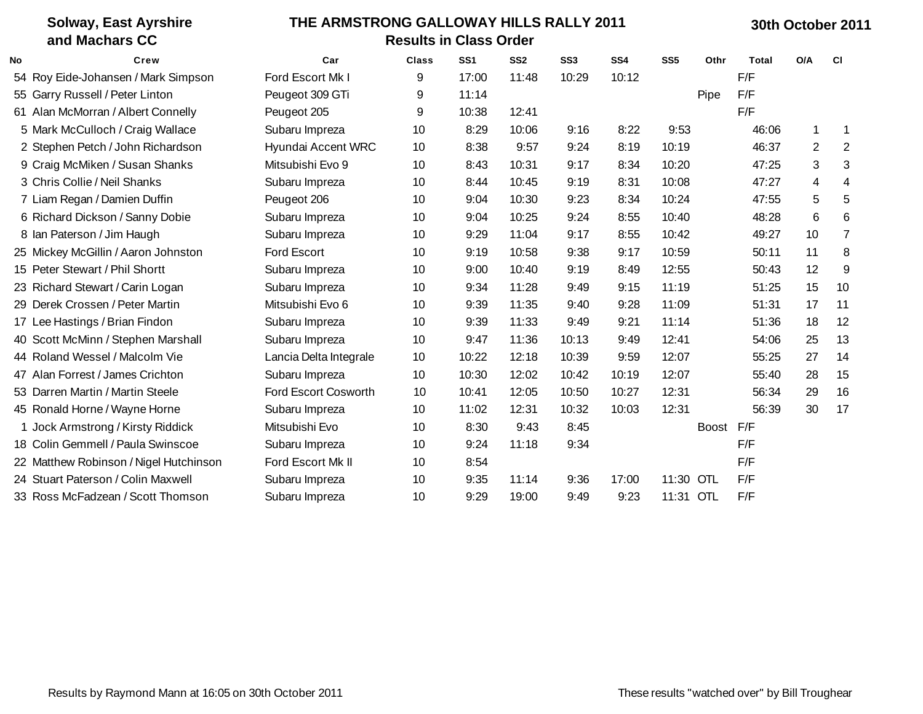| <b>Solway, East Ayrshire</b><br>and Machars CC | THE ARMSTRONG GALLOWAY HILLS RALLY 2011<br><b>Results in Class Order</b> |              |                 |                 |                 |                 |                 |      |                        |           |                 |
|------------------------------------------------|--------------------------------------------------------------------------|--------------|-----------------|-----------------|-----------------|-----------------|-----------------|------|------------------------|-----------|-----------------|
| Crew                                           | Car                                                                      | <b>Class</b> | SS <sub>1</sub> | SS <sub>2</sub> | SS <sub>3</sub> | SS <sub>4</sub> | SS <sub>5</sub> | Othr | Total                  | O/A       | <b>CI</b>       |
| 54 Roy Eide-Johansen / Mark Simpson            | Ford Escort Mk I                                                         | 9            | 17:00           | 11:48           | 10:29           | 10:12           |                 |      | F/F                    |           |                 |
| 55 Garry Russell / Peter Linton                | Peugeot 309 GTi                                                          | 9            | 11:14           |                 |                 |                 |                 | Pipe | F/F                    |           |                 |
| 61 Alan McMorran / Albert Connelly             | Peugeot 205                                                              | 9            | 10:38           | 12:41           |                 |                 |                 |      | F/F                    |           |                 |
| 5 Mark McCulloch / Craig Wallace               | Subaru Impreza                                                           | 10           | 8:29            | 10:06           | 9:16            | 8:22            | 9:53            |      | 46:06                  | 1         | -1              |
| 2 Stephen Petch / John Richardson              | Hyundai Accent WRC                                                       | 10           | 8:38            | 9:57            | 9:24            | 8:19            | 10:19           |      | 46:37                  | 2         | $\overline{2}$  |
| 9 Craig McMiken / Susan Shanks                 | Mitsubishi Evo 9                                                         | 10           | 8:43            | 10:31           | 9:17            | 8:34            | 10:20           |      | 47:25                  | 3         | 3               |
| 3 Chris Collie / Neil Shanks                   | Subaru Impreza                                                           | 10           | 8:44            | 10:45           | 9:19            | 8:31            | 10:08           |      | 47:27                  | 4         | 4               |
| 7 Liam Regan / Damien Duffin                   | Peugeot 206                                                              | 10           | 9:04            | 10:30           | 9:23            | 8:34            | 10:24           |      | 47:55                  | 5         | 5               |
| 6 Richard Dickson / Sanny Dobie                | Subaru Impreza                                                           | 10           | 9:04            | 10:25           | 9:24            | 8:55            | 10:40           |      | 48:28                  | 6         | 6               |
| 8 Ian Paterson / Jim Haugh                     | Subaru Impreza                                                           | 10           | 9:29            | 11:04           | 9:17            | 8:55            | 10:42           |      | 49:27                  | 10        | $\overline{7}$  |
| 25 Mickey McGillin / Aaron Johnston            | Ford Escort                                                              | 10           | 9:19            | 10:58           | 9:38            | 9:17            | 10:59           |      | 50:11                  | 11        | 8               |
| 15 Peter Stewart / Phil Shortt                 | Subaru Impreza                                                           | 10           | 9:00            | 10:40           | 9:19            | 8:49            | 12:55           |      | 50:43                  | 12        | 9               |
| 23 Richard Stewart / Carin Logan               | Subaru Impreza                                                           | 10           | 9:34            | 11:28           | 9:49            | 9:15            | 11:19           |      | 51:25                  | 15        | 10              |
| 29 Derek Crossen / Peter Martin                | Mitsubishi Evo 6                                                         | 10           | 9:39            | 11:35           | 9:40            | 9:28            | 11:09           |      | 51:31                  | 17        | 11              |
| 17 Lee Hastings / Brian Findon                 | Subaru Impreza                                                           | 10           | 9:39            | 11:33           | 9:49            | 9:21            | 11:14           |      | 51:36                  | 18        | 12              |
| 40 Scott McMinn / Stephen Marshall             | Subaru Impreza                                                           | 10           | 9:47            | 11:36           | 10:13           | 9:49            | 12:41           |      | 54:06                  | 25        | 13              |
| 44 Roland Wessel / Malcolm Vie                 | Lancia Delta Integrale                                                   | 10           | 10:22           | 12:18           | 10:39           | 9:59            | 12:07           |      | 55:25                  | 27        | 14              |
| 47 Alan Forrest / James Crichton               | Subaru Impreza                                                           | 10           | 10:30           | 12:02           | 10:42           | 10:19           | 12:07           |      | 55:40                  | 28        | 15              |
| 53 Darren Martin / Martin Steele               | Ford Escort Cosworth                                                     | 10           | 10:41           | 12:05           | 10:50           | 10:27           | 12:31           |      | 56:34                  | 29        | 16              |
| 45 Ronald Horne / Wayne Horne                  | Subaru Impreza                                                           | 10           | 11:02           | 12:31           | 10:32           | 10:03           | 12:31           |      | 56:39                  | 30        | 17              |
| 1 Jock Armstrong / Kirsty Riddick              | Mitsubishi Evo                                                           | 10           | 8:30            | 9:43            | 8:45            |                 |                 |      |                        |           |                 |
| 18 Colin Gemmell / Paula Swinscoe              | Subaru Impreza                                                           | 10           | 9:24            | 11:18           | 9:34            |                 |                 |      | F/F                    |           |                 |
| 22 Matthew Robinson / Nigel Hutchinson         | Ford Escort Mk II                                                        | 10           | 8:54            |                 |                 |                 |                 |      | F/F                    |           |                 |
| 24 Stuart Paterson / Colin Maxwell             | Subaru Impreza                                                           | 10           | 9:35            | 11:14           | 9:36            | 17:00           |                 |      | F/F                    |           |                 |
| 33 Ross McFadzean / Scott Thomson              | Subaru Impreza                                                           | 10           | 9:29            | 19:00           | 9:49            | 9:23            |                 |      | F/F                    |           |                 |
|                                                |                                                                          |              |                 |                 |                 |                 |                 |      | 11:30 OTL<br>11:31 OTL | Boost F/F | 30th October 20 |